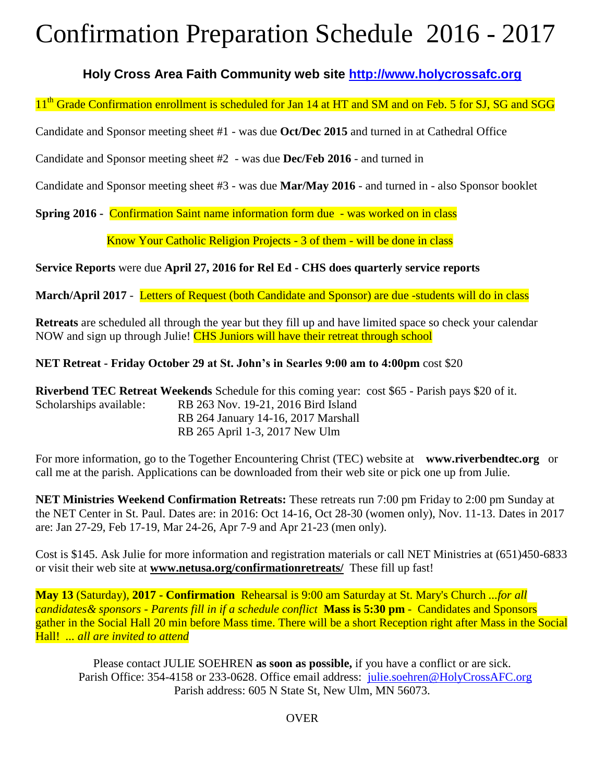## Confirmation Preparation Schedule 2016 - 2017

### **Holy Cross Area Faith Community web site [http://www.holycrossafc.org](http://www.holycrossafc.org/)**

11<sup>th</sup> Grade Confirmation enrollment is scheduled for Jan 14 at HT and SM and on Feb. 5 for SJ, SG and SGG

Candidate and Sponsor meeting sheet #1 - was due **Oct/Dec 2015** and turned in at Cathedral Office

Candidate and Sponsor meeting sheet #2 - was due **Dec/Feb 2016** - and turned in

Candidate and Sponsor meeting sheet #3 - was due **Mar/May 2016** - and turned in - also Sponsor booklet

**Spring 2016 -** Confirmation Saint name information form due - was worked on in class

Know Your Catholic Religion Projects - 3 of them - will be done in class

**Service Reports** were due **April 27, 2016 for Rel Ed - CHS does quarterly service reports**

**March/April 2017** - Letters of Request (both Candidate and Sponsor) are due -students will do in class

**Retreats** are scheduled all through the year but they fill up and have limited space so check your calendar NOW and sign up through Julie! CHS Juniors will have their retreat through school

#### **NET Retreat - Friday October 29 at St. John's in Searles 9:00 am to 4:00pm** cost \$20

**Riverbend TEC Retreat Weekends** Schedule for this coming year: cost \$65 - Parish pays \$20 of it. Scholarships available: RB 263 Nov. 19-21, 2016 Bird Island RB 264 January 14-16, 2017 Marshall RB 265 April 1-3, 2017 New Ulm

For more information, go to the Together Encountering Christ (TEC) website at **www.riverbendtec.org** or call me at the parish. Applications can be downloaded from their web site or pick one up from Julie.

**NET Ministries Weekend Confirmation Retreats:** These retreats run 7:00 pm Friday to 2:00 pm Sunday at the NET Center in St. Paul. Dates are: in 2016: Oct 14-16, Oct 28-30 (women only), Nov. 11-13. Dates in 2017 are: Jan 27-29, Feb 17-19, Mar 24-26, Apr 7-9 and Apr 21-23 (men only).

Cost is \$145. Ask Julie for more information and registration materials or call NET Ministries at (651)450-6833 or visit their web site at **[www.netusa.org/confirmationretreats/](http://www.netusa.org/confirmationretreats/)** These fill up fast!

**May 13** (Saturday), **2017 - Confirmation** Rehearsal is 9:00 am Saturday at St. Mary's Church *...for all candidates& sponsors - Parents fill in if a schedule conflict* **Mass is 5:30 pm** - Candidates and Sponsors gather in the Social Hall 20 min before Mass time. There will be a short Reception right after Mass in the Social Hall! *... all are invited to attend*

Please contact JULIE SOEHREN **as soon as possible,** if you have a conflict or are sick. Parish Office: 354-4158 or 233-0628. Office email address: [julie.soehren@HolyCrossAFC.org](mailto:julie.soehren@HolyCrossAFC.org) Parish address: 605 N State St, New Ulm, MN 56073.